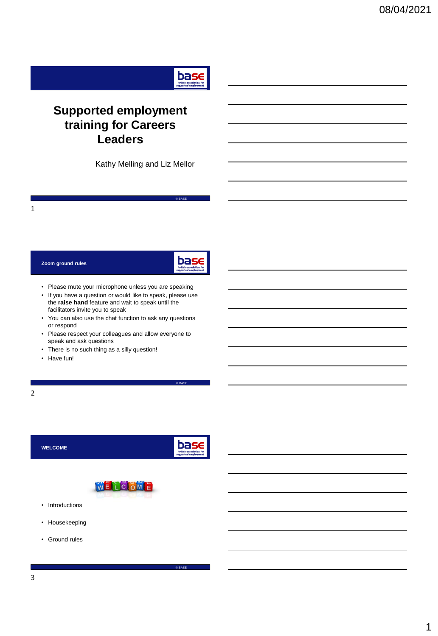

# **Supported employment training for Careers Leaders**

Kathy Melling and Liz Mellor

1

## **Zoom ground rules**



© BASE

© BASE

© BASE

- Please mute your microphone unless you are speaking
- If you have a question or would like to speak, please use the **raise hand** feature and wait to speak until the facilitators invite you to speak
- You can also use the chat function to ask any questions or respond
- Please respect your colleagues and allow everyone to speak and ask questions
- There is no such thing as a silly question!
- Have fun!

2

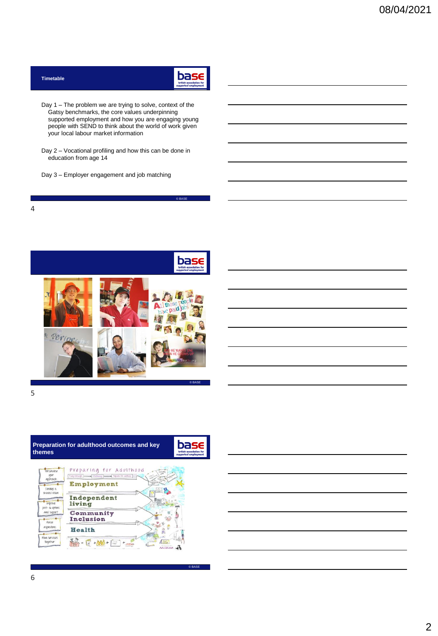| british association for<br>supported employment |
|-------------------------------------------------|
|-------------------------------------------------|

© BASE

© BASE

- Day 1 The problem we are trying to solve, context of the Gatsy benchmarks, the core values underpinning supported employment and how you are engaging young people with SEND to think about the world of work given your local labour market information
- Day 2 Vocational profiling and how this can be done in education from age 14
- Day 3 Employer engagement and job matching

**Timetable**



5

4

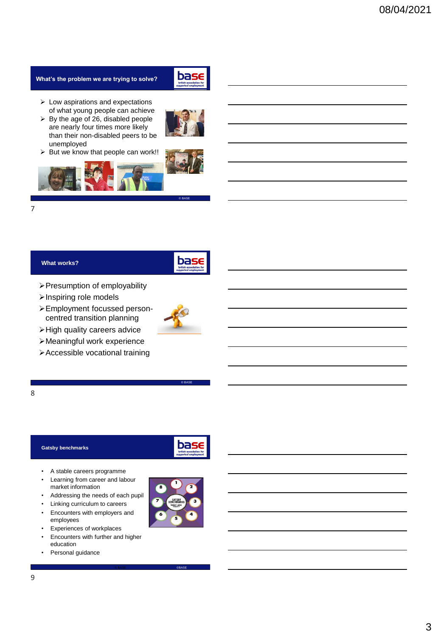# **What's the problem we are trying to solve?**



- ➢ Low aspirations and expectations of what young people can achieve
- $\triangleright$  By the age of 26, disabled people are nearly four times more likely than their non-disabled peers to be unemployed
- $\triangleright$  But we know that people can work!!



© BASE



## **What works?**



- ➢Presumption of employability
- ➢Inspiring role models
- ➢Employment focussed personcentred transition planning



© BASE

- ➢High quality careers advice
- ➢Meaningful work experience
- ➢Accessible vocational training

## 8

### **Gatsby benchmarks**



© BASE ©BASE

- A stable careers programme
- Learning from career and labour market information
- Addressing the needs of each pupil
- Linking curriculum to careers
- Encounters with employers and employees
- Experiences of workplaces
- Encounters with further and higher education
- Personal guidance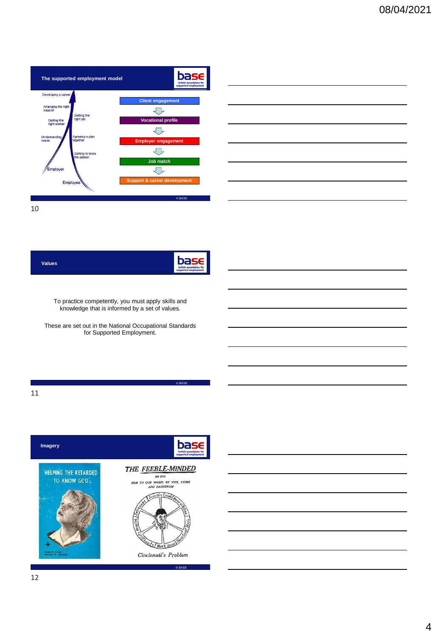

|                                                                                                                       |  | <u> 1989 - Johann Barn, amerikan bernama di sebagai bernama di sebagai bernama di sebagai bernama di sebagai ber</u>   |
|-----------------------------------------------------------------------------------------------------------------------|--|------------------------------------------------------------------------------------------------------------------------|
|                                                                                                                       |  | <u> 1989 - Johann Barn, mars ann an t-Amhain ann an t-Amhain ann an t-Amhain ann an t-Amhain an t-Amhain ann an t-</u> |
| <u> 1980 - Johann Barn, amerikan besteman besteman besteman besteman besteman besteman besteman besteman besteman</u> |  |                                                                                                                        |
| <u> 1989 - Johann Stoff, Amerikaansk politiker († 1908)</u>                                                           |  |                                                                                                                        |
| <u> 1989 - Andrea Andrew Maria (h. 1989).</u>                                                                         |  | ___                                                                                                                    |
|                                                                                                                       |  |                                                                                                                        |

| <b>Values</b> | bas<br>british associati<br>supported emploi |
|---------------|----------------------------------------------|
|---------------|----------------------------------------------|

To practice competently, you must apply skills and knowledge that is informed by a set of values.

These are set out in the National Occupational Standards for Supported Employment.

© BASE

11

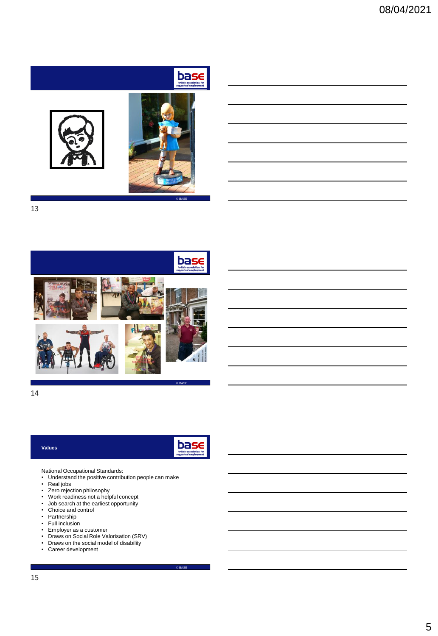





© BASE

13



14

### **Values**

 $base$ 

© BASE

National Occupational Standards:

- Understand the positive contribution people can make
- Real jobs
- Zero rejection philosophy
- Work readiness not a helpful concept
- Job search at the earliest opportunity
- Choice and control
- Partnership
- Full inclusion
- Employer as a customer
- Draws on Social Role Valorisation (SRV)
- Draws on the social model of disability
- Career development